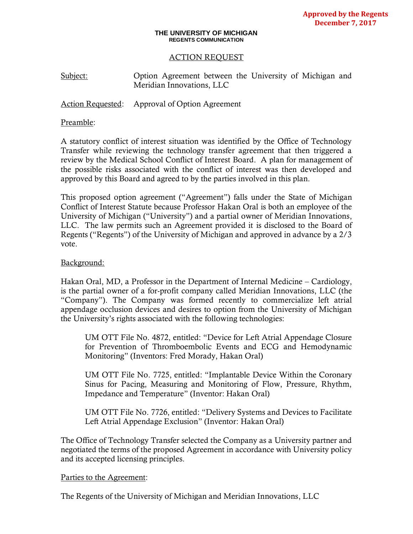#### **THE UNIVERSITY OF MICHIGAN REGENTS COMMUNICATION**

### ACTION REQUEST

Subject: Option Agreement between the University of Michigan and Meridian Innovations, LLC

Action Requested: Approval of Option Agreement

### Preamble:

A statutory conflict of interest situation was identified by the Office of Technology Transfer while reviewing the technology transfer agreement that then triggered a review by the Medical School Conflict of Interest Board. A plan for management of the possible risks associated with the conflict of interest was then developed and approved by this Board and agreed to by the parties involved in this plan.

This proposed option agreement ("Agreement") falls under the State of Michigan Conflict of Interest Statute because Professor Hakan Oral is both an employee of the University of Michigan ("University") and a partial owner of Meridian Innovations, LLC. The law permits such an Agreement provided it is disclosed to the Board of Regents ("Regents") of the University of Michigan and approved in advance by a 2/3 vote.

## Background:

Hakan Oral, MD, a Professor in the Department of Internal Medicine – Cardiology, is the partial owner of a for-profit company called Meridian Innovations, LLC (the "Company"). The Company was formed recently to commercialize left atrial appendage occlusion devices and desires to option from the University of Michigan the University's rights associated with the following technologies:

UM OTT File No. 4872, entitled: "Device for Left Atrial Appendage Closure for Prevention of Thromboembolic Events and ECG and Hemodynamic Monitoring" (Inventors: Fred Morady, Hakan Oral)

UM OTT File No. 7725, entitled: "Implantable Device Within the Coronary Sinus for Pacing, Measuring and Monitoring of Flow, Pressure, Rhythm, Impedance and Temperature" (Inventor: Hakan Oral)

UM OTT File No. 7726, entitled: "Delivery Systems and Devices to Facilitate Left Atrial Appendage Exclusion" (Inventor: Hakan Oral)

The Office of Technology Transfer selected the Company as a University partner and negotiated the terms of the proposed Agreement in accordance with University policy and its accepted licensing principles.

### Parties to the Agreement:

The Regents of the University of Michigan and Meridian Innovations, LLC